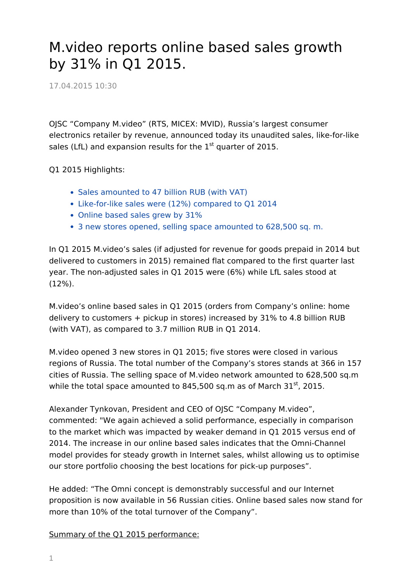## M.video reports online based sales growth by 31% in Q1 2015.

17.04.2015 10:30

OJSC "Company M.video" (RTS, MICEX: MVID), Russia's largest consumer electronics retailer by revenue, announced today its unaudited sales, like-for-like sales (LfL) and expansion results for the  $1<sup>st</sup>$  quarter of 2015.

Q1 2015 Highlights:

- Sales amounted to 47 billion RUB (with VAT)
- Like-for-like sales were (12%) compared to Q1 2014
- Online based sales grew by 31%
- 3 new stores opened, selling space amounted to 628,500 sq. m.

In Q1 2015 M.video's sales (if adjusted for revenue for goods prepaid in 2014 but delivered to customers in 2015) remained flat compared to the first quarter last year. The non-adjusted sales in Q1 2015 were (6%) while LfL sales stood at (12%).

M.video's online based sales in Q1 2015 (orders from Company's online: home delivery to customers + pickup in stores) increased by 31% to 4.8 billion RUB (with VAT), as compared to 3.7 million RUB in Q1 2014.

M.video opened 3 new stores in Q1 2015; five stores were closed in various regions of Russia. The total number of the Company's stores stands at 366 in 157 cities of Russia. The selling space of M.video network amounted to 628,500 sq.m while the total space amounted to 845,500 sq.m as of March  $31^{st}$ , 2015.

Alexander Tynkovan, President and CEO of OJSC "Company M.video", commented: "We again achieved a solid performance, especially in comparison to the market which was impacted by weaker demand in Q1 2015 versus end of 2014. The increase in our online based sales indicates that the Omni-Channel model provides for steady growth in Internet sales, whilst allowing us to optimise our store portfolio choosing the best locations for pick-up purposes".

He added: "The Omni concept is demonstrably successful and our Internet proposition is now available in 56 Russian cities. Online based sales now stand for more than 10% of the total turnover of the Company".

Summary of the Q1 2015 performance: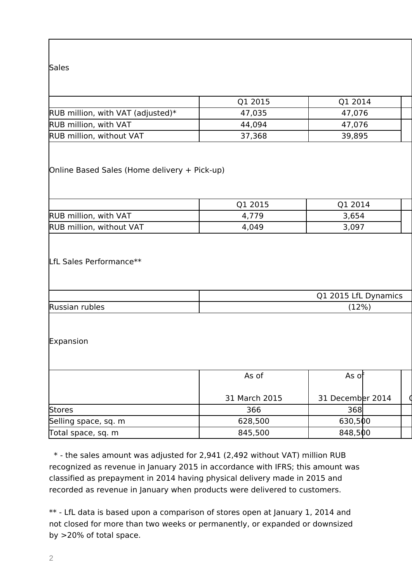## **Sales**

|                                   | Q1 2015 | O1 2014 |  |
|-----------------------------------|---------|---------|--|
| RUB million, with VAT (adjusted)* | 47,035  | 47,076  |  |
| <b>RUB million, with VAT</b>      | 44,094  | 47,076  |  |
| <b>RUB million, without VAT</b>   | 37,368  | 39,895  |  |

Online Based Sales (Home delivery + Pick-up)

|                                 | 2015<br>⌒" | 2014<br>╯∸ |  |
|---------------------------------|------------|------------|--|
| RUB million, with VAT           | +,779      | 3,654      |  |
| <b>RUB million, without VAT</b> | 4,049      | 3,097      |  |

## LfL Sales Performance\*\*

|                | Q1 2015 LfL Dynamics |
|----------------|----------------------|
| Russian rubles | (12%)                |

Expansion

|                      | As of         | As of            |  |  |  |  |
|----------------------|---------------|------------------|--|--|--|--|
|                      | 31 March 2015 | 31 December 2014 |  |  |  |  |
| Stores               | 366           | 368              |  |  |  |  |
| Selling space, sq. m | 628,500       | 630,500          |  |  |  |  |
| Total space, sq. m   | 845,500       | 848,500          |  |  |  |  |

 \* - the sales amount was adjusted for 2,941 (2,492 without VAT) million RUB recognized as revenue in January 2015 in accordance with IFRS; this amount was classified as prepayment in 2014 having physical delivery made in 2015 and recorded as revenue in January when products were delivered to customers.

\*\* - LfL data is based upon a comparison of stores open at January 1, 2014 and not closed for more than two weeks or permanently, or expanded or downsized by >20% of total space.